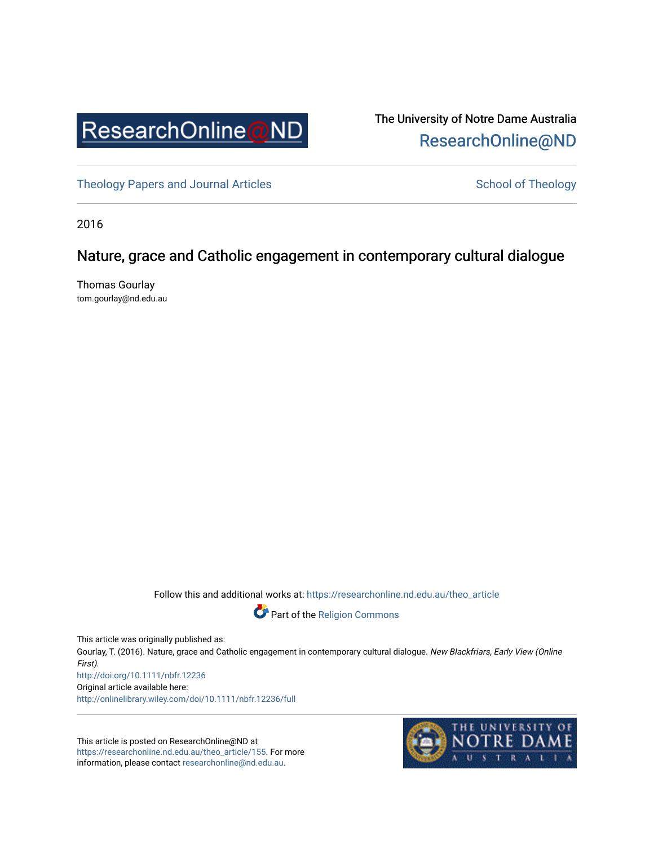

# The University of Notre Dame Australia [ResearchOnline@ND](https://researchonline.nd.edu.au/)

[Theology Papers and Journal Articles](https://researchonline.nd.edu.au/theo_article) and [School of Theology](https://researchonline.nd.edu.au/theo) School of Theology

2016

# Nature, grace and Catholic engagement in contemporary cultural dialogue

Thomas Gourlay tom.gourlay@nd.edu.au

Follow this and additional works at: [https://researchonline.nd.edu.au/theo\\_article](https://researchonline.nd.edu.au/theo_article?utm_source=researchonline.nd.edu.au%2Ftheo_article%2F155&utm_medium=PDF&utm_campaign=PDFCoverPages) 



This article was originally published as:

Gourlay, T. (2016). Nature, grace and Catholic engagement in contemporary cultural dialogue. New Blackfriars, Early View (Online First). <http://doi.org/10.1111/nbfr.12236>

Original article available here: <http://onlinelibrary.wiley.com/doi/10.1111/nbfr.12236/full>

This article is posted on ResearchOnline@ND at [https://researchonline.nd.edu.au/theo\\_article/155](https://researchonline.nd.edu.au/theo_article/155). For more information, please contact [researchonline@nd.edu.au.](mailto:researchonline@nd.edu.au)

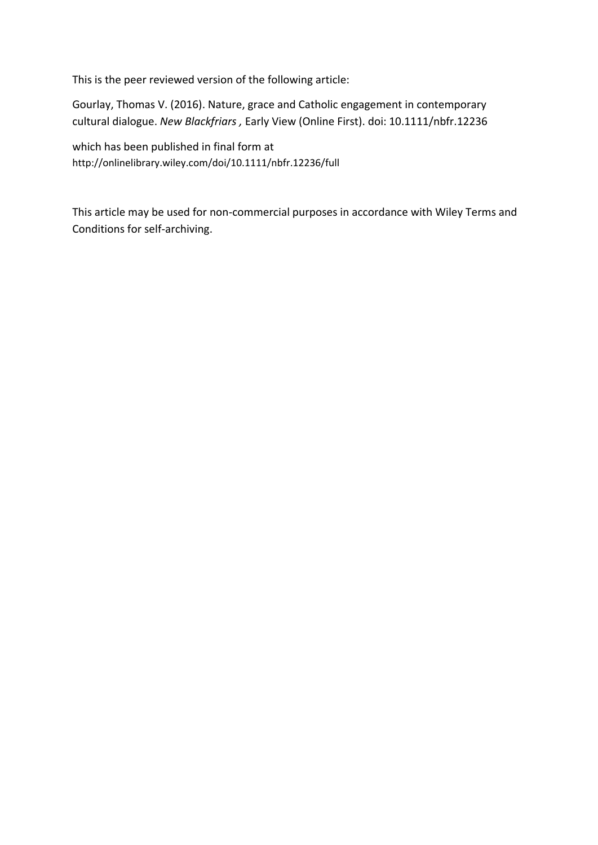This is the peer reviewed version of the following article:

Gourlay, Thomas V. (2016). Nature, grace and Catholic engagement in contemporary cultural dialogue. *New Blackfriars ,* Early View (Online First). doi: 10.1111/nbfr.12236

which has been published in final form at http://onlinelibrary.wiley.com/doi/10.1111/nbfr.12236/full

This article may be used for non-commercial purposes in accordance with Wiley Terms and Conditions for self-archiving.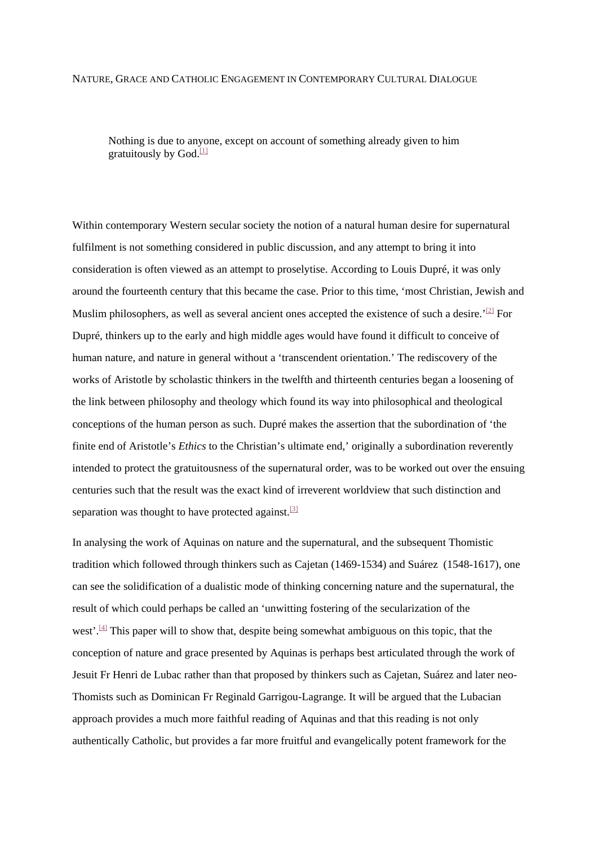#### NATURE, GRACE AND CATHOLIC ENGAGEMENT IN CONTEMPORARY CULTURAL DIALOGUE

Nothing is due to anyone, except on account of something already given to him gratuitously by God $\frac{11}{2}$ 

Within contemporary Western secular society the notion of a natural human desire for supernatural fulfilment is not something considered in public discussion, and any attempt to bring it into consideration is often viewed as an attempt to proselytise. According to Louis Dupré, it was only around the fourteenth century that this became the case. Prior to this time, 'most Christian, Jewish and Muslim philosophers, as well as several ancient ones accepted the existence of such a desire.'<sup>[\[2\]](https://mc.manuscriptcentral.com/LongRequest/nbfr?DOWNLOAD=TRUE&PARAMS=xik_48Ar8GWWAKdkRJ6FC9esEBPZf1oUUrQLAyALRS1asepr42wNmhSVpBVTVvnt4DCmKYGzBJReWCapMGZAf1SEptMiis4nqmfWttMLiDrnvrb1P5gppVLV1ZHMubhHqPhm4Z6MXF6H9HvA2Mkg4CUur1QHaf64Ckh4XRRcXLg8UDHSYL7HU37Y7Znq2RWydwG857ED1cDoSvU1H8rzWKay4mHJGowhDWtKNVg4ugGznWmAZ6oVj%23_ftn2)</sup> For Dupré, thinkers up to the early and high middle ages would have found it difficult to conceive of human nature, and nature in general without a 'transcendent orientation.' The rediscovery of the works of Aristotle by scholastic thinkers in the twelfth and thirteenth centuries began a loosening of the link between philosophy and theology which found its way into philosophical and theological conceptions of the human person as such. Dupré makes the assertion that the subordination of 'the finite end of Aristotle's *Ethics* to the Christian's ultimate end,' originally a subordination reverently intended to protect the gratuitousness of the supernatural order, was to be worked out over the ensuing centuries such that the result was the exact kind of irreverent worldview that such distinction and separation was thought to have protected against.<sup>[\[3\]](https://mc.manuscriptcentral.com/LongRequest/nbfr?DOWNLOAD=TRUE&PARAMS=xik_48Ar8GWWAKdkRJ6FC9esEBPZf1oUUrQLAyALRS1asepr42wNmhSVpBVTVvnt4DCmKYGzBJReWCapMGZAf1SEptMiis4nqmfWttMLiDrnvrb1P5gppVLV1ZHMubhHqPhm4Z6MXF6H9HvA2Mkg4CUur1QHaf64Ckh4XRRcXLg8UDHSYL7HU37Y7Znq2RWydwG857ED1cDoSvU1H8rzWKay4mHJGowhDWtKNVg4ugGznWmAZ6oVj%23_ftn3)</sup>

In analysing the work of Aquinas on nature and the supernatural, and the subsequent Thomistic tradition which followed through thinkers such as Cajetan (1469-1534) and Suárez (1548-1617), one can see the solidification of a dualistic mode of thinking concerning nature and the supernatural, the result of which could perhaps be called an 'unwitting fostering of the secularization of the west'.<sup>[\[4\]](https://mc.manuscriptcentral.com/LongRequest/nbfr?DOWNLOAD=TRUE&PARAMS=xik_48Ar8GWWAKdkRJ6FC9esEBPZf1oUUrQLAyALRS1asepr42wNmhSVpBVTVvnt4DCmKYGzBJReWCapMGZAf1SEptMiis4nqmfWttMLiDrnvrb1P5gppVLV1ZHMubhHqPhm4Z6MXF6H9HvA2Mkg4CUur1QHaf64Ckh4XRRcXLg8UDHSYL7HU37Y7Znq2RWydwG857ED1cDoSvU1H8rzWKay4mHJGowhDWtKNVg4ugGznWmAZ6oVj%23_ftn4)</sup> This paper will to show that, despite being somewhat ambiguous on this topic, that the conception of nature and grace presented by Aquinas is perhaps best articulated through the work of Jesuit Fr Henri de Lubac rather than that proposed by thinkers such as Cajetan, Suárez and later neo-Thomists such as Dominican Fr Reginald Garrigou-Lagrange. It will be argued that the Lubacian approach provides a much more faithful reading of Aquinas and that this reading is not only authentically Catholic, but provides a far more fruitful and evangelically potent framework for the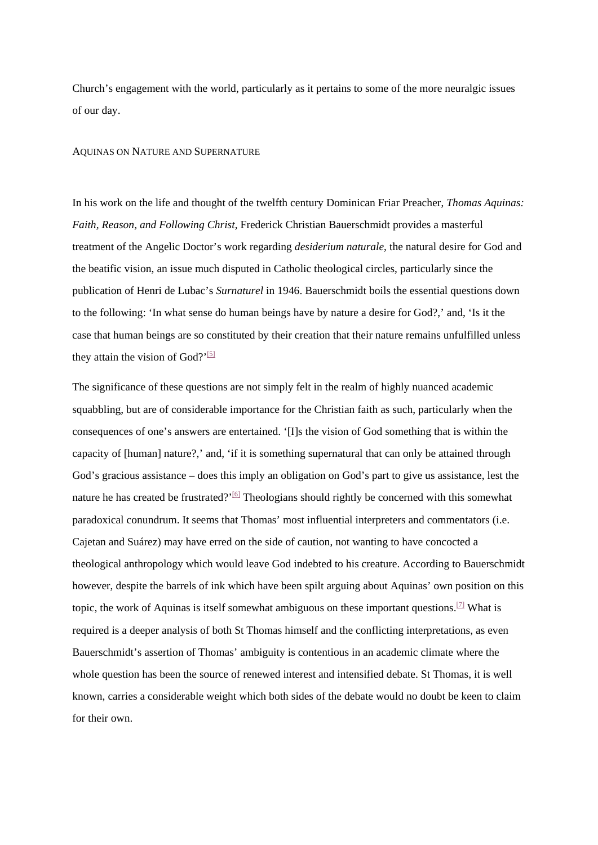Church's engagement with the world, particularly as it pertains to some of the more neuralgic issues of our day.

#### AQUINAS ON NATURE AND SUPERNATURE

In his work on the life and thought of the twelfth century Dominican Friar Preacher, *Thomas Aquinas: Faith, Reason, and Following Christ*, Frederick Christian Bauerschmidt provides a masterful treatment of the Angelic Doctor's work regarding *desiderium naturale*, the natural desire for God and the beatific vision, an issue much disputed in Catholic theological circles, particularly since the publication of Henri de Lubac's *Surnaturel* in 1946. Bauerschmidt boils the essential questions down to the following: 'In what sense do human beings have by nature a desire for God?,' and, 'Is it the case that human beings are so constituted by their creation that their nature remains unfulfilled unless they attain the vision of God?'<sup>[\[5\]](https://mc.manuscriptcentral.com/LongRequest/nbfr?DOWNLOAD=TRUE&PARAMS=xik_48Ar8GWWAKdkRJ6FC9esEBPZf1oUUrQLAyALRS1asepr42wNmhSVpBVTVvnt4DCmKYGzBJReWCapMGZAf1SEptMiis4nqmfWttMLiDrnvrb1P5gppVLV1ZHMubhHqPhm4Z6MXF6H9HvA2Mkg4CUur1QHaf64Ckh4XRRcXLg8UDHSYL7HU37Y7Znq2RWydwG857ED1cDoSvU1H8rzWKay4mHJGowhDWtKNVg4ugGznWmAZ6oVj%23_ftn5)</sup>

The significance of these questions are not simply felt in the realm of highly nuanced academic squabbling, but are of considerable importance for the Christian faith as such, particularly when the consequences of one's answers are entertained. '[I]s the vision of God something that is within the capacity of [human] nature?,' and, 'if it is something supernatural that can only be attained through God's gracious assistance – does this imply an obligation on God's part to give us assistance, lest the nature he has created be frustrated?'<sup>[\[6\]](https://mc.manuscriptcentral.com/LongRequest/nbfr?DOWNLOAD=TRUE&PARAMS=xik_48Ar8GWWAKdkRJ6FC9esEBPZf1oUUrQLAyALRS1asepr42wNmhSVpBVTVvnt4DCmKYGzBJReWCapMGZAf1SEptMiis4nqmfWttMLiDrnvrb1P5gppVLV1ZHMubhHqPhm4Z6MXF6H9HvA2Mkg4CUur1QHaf64Ckh4XRRcXLg8UDHSYL7HU37Y7Znq2RWydwG857ED1cDoSvU1H8rzWKay4mHJGowhDWtKNVg4ugGznWmAZ6oVj%23_ftn6)</sup> Theologians should rightly be concerned with this somewhat paradoxical conundrum. It seems that Thomas' most influential interpreters and commentators (i.e. Cajetan and Suárez) may have erred on the side of caution, not wanting to have concocted a theological anthropology which would leave God indebted to his creature. According to Bauerschmidt however, despite the barrels of ink which have been spilt arguing about Aquinas' own position on this topic, the work of Aquinas is itself somewhat ambiguous on these important questions.<sup>[7]</sup> What is required is a deeper analysis of both St Thomas himself and the conflicting interpretations, as even Bauerschmidt's assertion of Thomas' ambiguity is contentious in an academic climate where the whole question has been the source of renewed interest and intensified debate. St Thomas, it is well known, carries a considerable weight which both sides of the debate would no doubt be keen to claim for their own.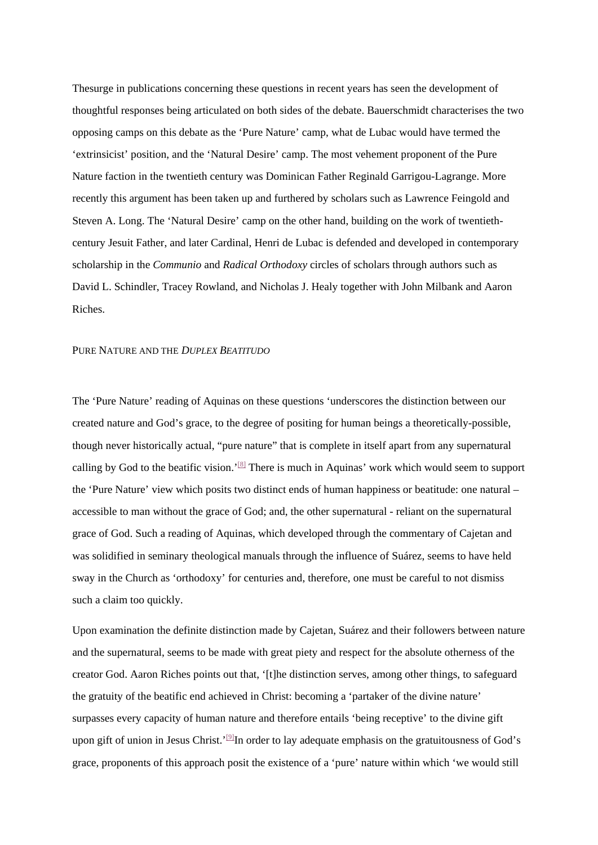Thesurge in publications concerning these questions in recent years has seen the development of thoughtful responses being articulated on both sides of the debate. Bauerschmidt characterises the two opposing camps on this debate as the 'Pure Nature' camp, what de Lubac would have termed the 'extrinsicist' position, and the 'Natural Desire' camp. The most vehement proponent of the Pure Nature faction in the twentieth century was Dominican Father Reginald Garrigou-Lagrange. More recently this argument has been taken up and furthered by scholars such as Lawrence Feingold and Steven A. Long. The 'Natural Desire' camp on the other hand, building on the work of twentiethcentury Jesuit Father, and later Cardinal, Henri de Lubac is defended and developed in contemporary scholarship in the *Communio* and *Radical Orthodoxy* circles of scholars through authors such as David L. Schindler, Tracey Rowland, and Nicholas J. Healy together with John Milbank and Aaron Riches.

# PURE NATURE AND THE *DUPLEX BEATITUDO*

The 'Pure Nature' reading of Aquinas on these questions 'underscores the distinction between our created nature and God's grace, to the degree of positing for human beings a theoretically-possible, though never historically actual, "pure nature" that is complete in itself apart from any supernatural calling by God to the beatific vision.<sup>'[\[8\]](https://mc.manuscriptcentral.com/LongRequest/nbfr?DOWNLOAD=TRUE&PARAMS=xik_48Ar8GWWAKdkRJ6FC9esEBPZf1oUUrQLAyALRS1asepr42wNmhSVpBVTVvnt4DCmKYGzBJReWCapMGZAf1SEptMiis4nqmfWttMLiDrnvrb1P5gppVLV1ZHMubhHqPhm4Z6MXF6H9HvA2Mkg4CUur1QHaf64Ckh4XRRcXLg8UDHSYL7HU37Y7Znq2RWydwG857ED1cDoSvU1H8rzWKay4mHJGowhDWtKNVg4ugGznWmAZ6oVj%23_ftn8)</sup> There is much in Aquinas' work which would seem to support the 'Pure Nature' view which posits two distinct ends of human happiness or beatitude: one natural – accessible to man without the grace of God; and, the other supernatural - reliant on the supernatural grace of God. Such a reading of Aquinas, which developed through the commentary of Cajetan and was solidified in seminary theological manuals through the influence of Suárez, seems to have held sway in the Church as 'orthodoxy' for centuries and, therefore, one must be careful to not dismiss such a claim too quickly.

Upon examination the definite distinction made by Cajetan, Suárez and their followers between nature and the supernatural, seems to be made with great piety and respect for the absolute otherness of the creator God. Aaron Riches points out that, '[t]he distinction serves, among other things, to safeguard the gratuity of the beatific end achieved in Christ: becoming a 'partaker of the divine nature' surpasses every capacity of human nature and therefore entails 'being receptive' to the divine gift upon gift of union in Jesus Christ.'<sup>[9]</sup>In order to lay adequate emphasis on the gratuitousness of God's grace, proponents of this approach posit the existence of a 'pure' nature within which 'we would still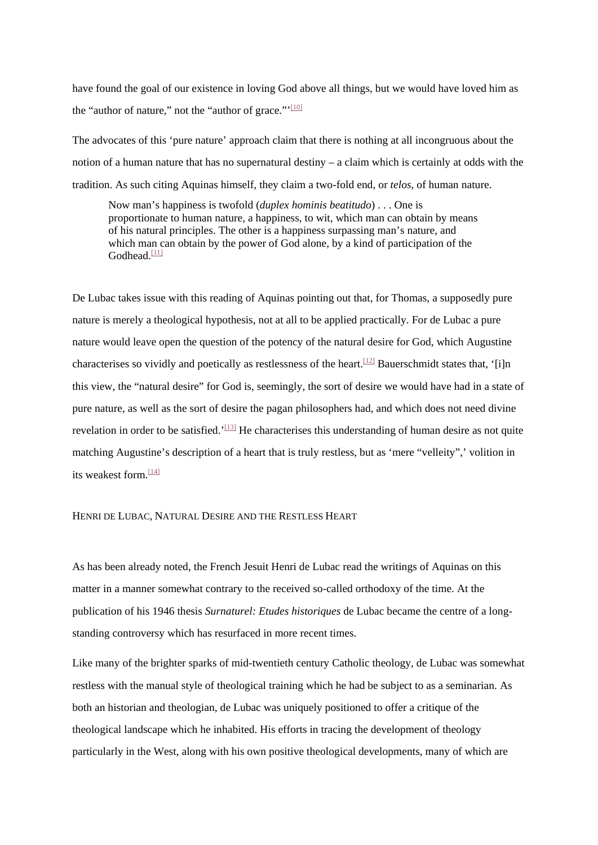have found the goal of our existence in loving God above all things, but we would have loved him as the "author of nature," not the "author of grace."'[\[10\]](https://mc.manuscriptcentral.com/LongRequest/nbfr?DOWNLOAD=TRUE&PARAMS=xik_48Ar8GWWAKdkRJ6FC9esEBPZf1oUUrQLAyALRS1asepr42wNmhSVpBVTVvnt4DCmKYGzBJReWCapMGZAf1SEptMiis4nqmfWttMLiDrnvrb1P5gppVLV1ZHMubhHqPhm4Z6MXF6H9HvA2Mkg4CUur1QHaf64Ckh4XRRcXLg8UDHSYL7HU37Y7Znq2RWydwG857ED1cDoSvU1H8rzWKay4mHJGowhDWtKNVg4ugGznWmAZ6oVj%23_ftn10)

The advocates of this 'pure nature' approach claim that there is nothing at all incongruous about the notion of a human nature that has no supernatural destiny – a claim which is certainly at odds with the tradition. As such citing Aquinas himself, they claim a two-fold end, or *telos*, of human nature.

Now man's happiness is twofold (*duplex hominis beatitudo*) . . . One is proportionate to human nature, a happiness, to wit, which man can obtain by means of his natural principles. The other is a happiness surpassing man's nature, and which man can obtain by the power of God alone, by a kind of participation of the  $G$ odhead. $\frac{[11]}{[11]}$  $\frac{[11]}{[11]}$  $\frac{[11]}{[11]}$ 

De Lubac takes issue with this reading of Aquinas pointing out that, for Thomas, a supposedly pure nature is merely a theological hypothesis, not at all to be applied practically. For de Lubac a pure nature would leave open the question of the potency of the natural desire for God, which Augustine characterises so vividly and poetically as restlessness of the heart.<sup>[12]</sup> Bauerschmidt states that, '[i]n this view, the "natural desire" for God is, seemingly, the sort of desire we would have had in a state of pure nature, as well as the sort of desire the pagan philosophers had, and which does not need divine revelation in order to be satisfied.'<sup>[\[13\]](https://mc.manuscriptcentral.com/LongRequest/nbfr?DOWNLOAD=TRUE&PARAMS=xik_48Ar8GWWAKdkRJ6FC9esEBPZf1oUUrQLAyALRS1asepr42wNmhSVpBVTVvnt4DCmKYGzBJReWCapMGZAf1SEptMiis4nqmfWttMLiDrnvrb1P5gppVLV1ZHMubhHqPhm4Z6MXF6H9HvA2Mkg4CUur1QHaf64Ckh4XRRcXLg8UDHSYL7HU37Y7Znq2RWydwG857ED1cDoSvU1H8rzWKay4mHJGowhDWtKNVg4ugGznWmAZ6oVj%23_ftn13)</sup> He characterises this understanding of human desire as not quite matching Augustine's description of a heart that is truly restless, but as 'mere "velleity",' volition in its weakest form.[\[14\]](https://mc.manuscriptcentral.com/LongRequest/nbfr?DOWNLOAD=TRUE&PARAMS=xik_48Ar8GWWAKdkRJ6FC9esEBPZf1oUUrQLAyALRS1asepr42wNmhSVpBVTVvnt4DCmKYGzBJReWCapMGZAf1SEptMiis4nqmfWttMLiDrnvrb1P5gppVLV1ZHMubhHqPhm4Z6MXF6H9HvA2Mkg4CUur1QHaf64Ckh4XRRcXLg8UDHSYL7HU37Y7Znq2RWydwG857ED1cDoSvU1H8rzWKay4mHJGowhDWtKNVg4ugGznWmAZ6oVj%23_ftn14)

# HENRI DE LUBAC, NATURAL DESIRE AND THE RESTLESS HEART

As has been already noted, the French Jesuit Henri de Lubac read the writings of Aquinas on this matter in a manner somewhat contrary to the received so-called orthodoxy of the time. At the publication of his 1946 thesis *Surnaturel: Etudes historiques* de Lubac became the centre of a longstanding controversy which has resurfaced in more recent times.

Like many of the brighter sparks of mid-twentieth century Catholic theology, de Lubac was somewhat restless with the manual style of theological training which he had be subject to as a seminarian. As both an historian and theologian, de Lubac was uniquely positioned to offer a critique of the theological landscape which he inhabited. His efforts in tracing the development of theology particularly in the West, along with his own positive theological developments, many of which are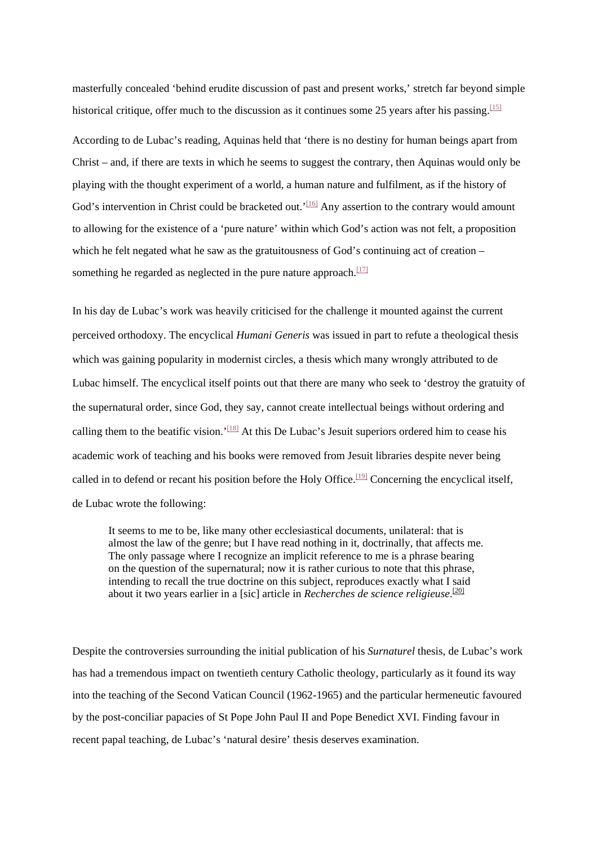masterfully concealed 'behind erudite discussion of past and present works,' stretch far beyond simple historical critique, offer much to the discussion as it continues some 25 years after his passing.  $\frac{[15]}{[15]}$  $\frac{[15]}{[15]}$  $\frac{[15]}{[15]}$ According to de Lubac's reading, Aquinas held that 'there is no destiny for human beings apart from Christ – and, if there are texts in which he seems to suggest the contrary, then Aquinas would only be playing with the thought experiment of a world, a human nature and fulfilment, as if the history of God's intervention in Christ could be bracketed out.<sup>'[\[16\]](https://mc.manuscriptcentral.com/LongRequest/nbfr?DOWNLOAD=TRUE&PARAMS=xik_48Ar8GWWAKdkRJ6FC9esEBPZf1oUUrQLAyALRS1asepr42wNmhSVpBVTVvnt4DCmKYGzBJReWCapMGZAf1SEptMiis4nqmfWttMLiDrnvrb1P5gppVLV1ZHMubhHqPhm4Z6MXF6H9HvA2Mkg4CUur1QHaf64Ckh4XRRcXLg8UDHSYL7HU37Y7Znq2RWydwG857ED1cDoSvU1H8rzWKay4mHJGowhDWtKNVg4ugGznWmAZ6oVj%23_ftn16)</sup> Any assertion to the contrary would amount to allowing for the existence of a 'pure nature' within which God's action was not felt, a proposition which he felt negated what he saw as the gratuitousness of God's continuing act of creation – something he regarded as neglected in the pure nature approach.<sup>[17]</sup>

In his day de Lubac's work was heavily criticised for the challenge it mounted against the current perceived orthodoxy. The encyclical *Humani Generis* was issued in part to refute a theological thesis which was gaining popularity in modernist circles, a thesis which many wrongly attributed to de Lubac himself. The encyclical itself points out that there are many who seek to 'destroy the gratuity of the supernatural order, since God, they say, cannot create intellectual beings without ordering and calling them to the beatific vision.'<sup>[\[18\]](https://mc.manuscriptcentral.com/LongRequest/nbfr?DOWNLOAD=TRUE&PARAMS=xik_48Ar8GWWAKdkRJ6FC9esEBPZf1oUUrQLAyALRS1asepr42wNmhSVpBVTVvnt4DCmKYGzBJReWCapMGZAf1SEptMiis4nqmfWttMLiDrnvrb1P5gppVLV1ZHMubhHqPhm4Z6MXF6H9HvA2Mkg4CUur1QHaf64Ckh4XRRcXLg8UDHSYL7HU37Y7Znq2RWydwG857ED1cDoSvU1H8rzWKay4mHJGowhDWtKNVg4ugGznWmAZ6oVj%23_ftn18)</sup> At this De Lubac's Jesuit superiors ordered him to cease his academic work of teaching and his books were removed from Jesuit libraries despite never being called in to defend or recant his position before the Holy Office.<sup>[\[19\]](https://mc.manuscriptcentral.com/LongRequest/nbfr?DOWNLOAD=TRUE&PARAMS=xik_48Ar8GWWAKdkRJ6FC9esEBPZf1oUUrQLAyALRS1asepr42wNmhSVpBVTVvnt4DCmKYGzBJReWCapMGZAf1SEptMiis4nqmfWttMLiDrnvrb1P5gppVLV1ZHMubhHqPhm4Z6MXF6H9HvA2Mkg4CUur1QHaf64Ckh4XRRcXLg8UDHSYL7HU37Y7Znq2RWydwG857ED1cDoSvU1H8rzWKay4mHJGowhDWtKNVg4ugGznWmAZ6oVj%23_ftn19)</sup> Concerning the encyclical itself, de Lubac wrote the following:

It seems to me to be, like many other ecclesiastical documents, unilateral: that is almost the law of the genre; but I have read nothing in it, doctrinally, that affects me. The only passage where I recognize an implicit reference to me is a phrase bearing on the question of the supernatural; now it is rather curious to note that this phrase, intending to recall the true doctrine on this subject, reproduces exactly what I said about it two years earlier in a [sic] article in *Recherches de science religieuse*. [\[20\]](https://mc.manuscriptcentral.com/LongRequest/nbfr?DOWNLOAD=TRUE&PARAMS=xik_48Ar8GWWAKdkRJ6FC9esEBPZf1oUUrQLAyALRS1asepr42wNmhSVpBVTVvnt4DCmKYGzBJReWCapMGZAf1SEptMiis4nqmfWttMLiDrnvrb1P5gppVLV1ZHMubhHqPhm4Z6MXF6H9HvA2Mkg4CUur1QHaf64Ckh4XRRcXLg8UDHSYL7HU37Y7Znq2RWydwG857ED1cDoSvU1H8rzWKay4mHJGowhDWtKNVg4ugGznWmAZ6oVj%23_ftn20)

Despite the controversies surrounding the initial publication of his *Surnaturel* thesis, de Lubac's work has had a tremendous impact on twentieth century Catholic theology, particularly as it found its way into the teaching of the Second Vatican Council (1962-1965) and the particular hermeneutic favoured by the post-conciliar papacies of St Pope John Paul II and Pope Benedict XVI. Finding favour in recent papal teaching, de Lubac's 'natural desire' thesis deserves examination.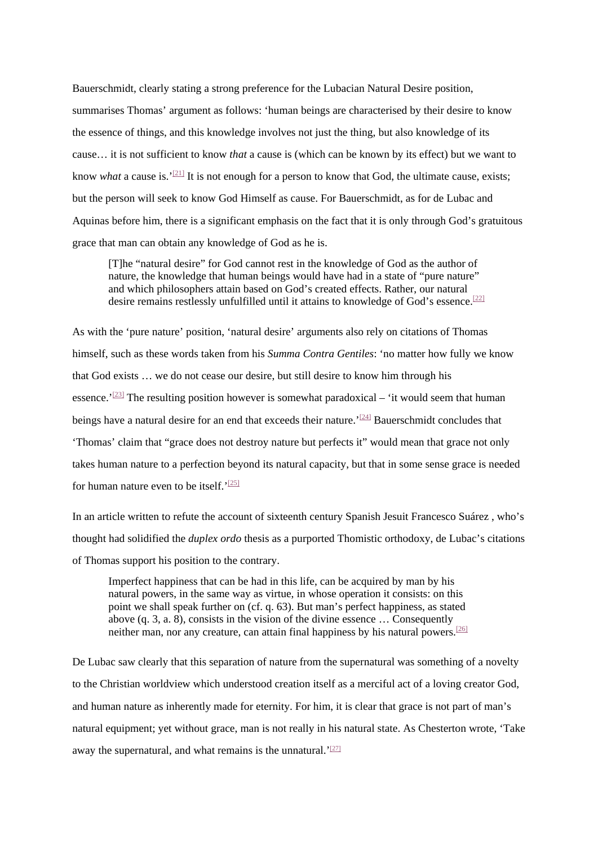Bauerschmidt, clearly stating a strong preference for the Lubacian Natural Desire position, summarises Thomas' argument as follows: 'human beings are characterised by their desire to know the essence of things, and this knowledge involves not just the thing, but also knowledge of its cause… it is not sufficient to know *that* a cause is (which can be known by its effect) but we want to know *what* a cause is.<sup>'[\[21\]](https://mc.manuscriptcentral.com/LongRequest/nbfr?DOWNLOAD=TRUE&PARAMS=xik_48Ar8GWWAKdkRJ6FC9esEBPZf1oUUrQLAyALRS1asepr42wNmhSVpBVTVvnt4DCmKYGzBJReWCapMGZAf1SEptMiis4nqmfWttMLiDrnvrb1P5gppVLV1ZHMubhHqPhm4Z6MXF6H9HvA2Mkg4CUur1QHaf64Ckh4XRRcXLg8UDHSYL7HU37Y7Znq2RWydwG857ED1cDoSvU1H8rzWKay4mHJGowhDWtKNVg4ugGznWmAZ6oVj%23_ftn21)</sup> It is not enough for a person to know that God, the ultimate cause, exists; but the person will seek to know God Himself as cause. For Bauerschmidt, as for de Lubac and Aquinas before him, there is a significant emphasis on the fact that it is only through God's gratuitous grace that man can obtain any knowledge of God as he is.

[T]he "natural desire" for God cannot rest in the knowledge of God as the author of nature, the knowledge that human beings would have had in a state of "pure nature" and which philosophers attain based on God's created effects. Rather, our natural desire remains restlessly unfulfilled until it attains to knowledge of God's essence.<sup>[22]</sup>

As with the 'pure nature' position, 'natural desire' arguments also rely on citations of Thomas himself, such as these words taken from his *Summa Contra Gentiles*: 'no matter how fully we know that God exists … we do not cease our desire, but still desire to know him through his essence.' $^{[23]}$  $^{[23]}$  $^{[23]}$  The resulting position however is somewhat paradoxical – 'it would seem that human beings have a natural desire for an end that exceeds their nature.<sup>'[\[24\]](https://mc.manuscriptcentral.com/LongRequest/nbfr?DOWNLOAD=TRUE&PARAMS=xik_48Ar8GWWAKdkRJ6FC9esEBPZf1oUUrQLAyALRS1asepr42wNmhSVpBVTVvnt4DCmKYGzBJReWCapMGZAf1SEptMiis4nqmfWttMLiDrnvrb1P5gppVLV1ZHMubhHqPhm4Z6MXF6H9HvA2Mkg4CUur1QHaf64Ckh4XRRcXLg8UDHSYL7HU37Y7Znq2RWydwG857ED1cDoSvU1H8rzWKay4mHJGowhDWtKNVg4ugGznWmAZ6oVj%23_ftn24)</sup> Bauerschmidt concludes that 'Thomas' claim that "grace does not destroy nature but perfects it" would mean that grace not only takes human nature to a perfection beyond its natural capacity, but that in some sense grace is needed for human nature even to be itself.' $^{[25]}$  $^{[25]}$  $^{[25]}$ 

In an article written to refute the account of sixteenth century Spanish Jesuit Francesco Suárez , who's thought had solidified the *duplex ordo* thesis as a purported Thomistic orthodoxy, de Lubac's citations of Thomas support his position to the contrary.

Imperfect happiness that can be had in this life, can be acquired by man by his natural powers, in the same way as virtue, in whose operation it consists: on this point we shall speak further on (cf. q. 63). But man's perfect happiness, as stated above  $(q, 3, a, 8)$ , consists in the vision of the divine essence ... Consequently neither man, nor any creature, can attain final happiness by his natural powers.<sup>[26]</sup>

De Lubac saw clearly that this separation of nature from the supernatural was something of a novelty to the Christian worldview which understood creation itself as a merciful act of a loving creator God, and human nature as inherently made for eternity. For him, it is clear that grace is not part of man's natural equipment; yet without grace, man is not really in his natural state. As Chesterton wrote, 'Take away the supernatural, and what remains is the unnatural.  $227$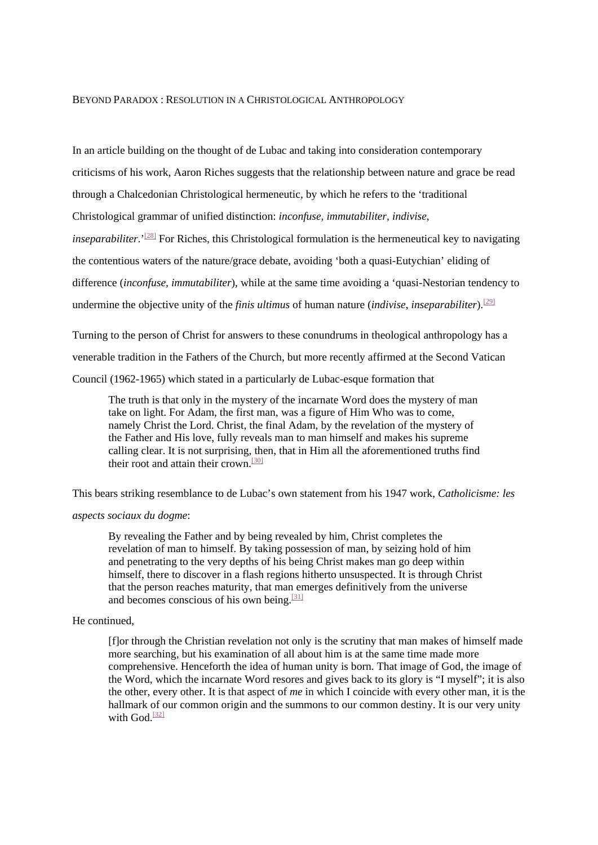#### BEYOND PARADOX : RESOLUTION IN A CHRISTOLOGICAL ANTHROPOLOGY

In an article building on the thought of de Lubac and taking into consideration contemporary criticisms of his work, Aaron Riches suggests that the relationship between nature and grace be read through a Chalcedonian Christological hermeneutic, by which he refers to the 'traditional Christological grammar of unified distinction: *inconfuse, immutabiliter, indivise, inseparabiliter*.<sup>'[\[28\]](https://mc.manuscriptcentral.com/LongRequest/nbfr?DOWNLOAD=TRUE&PARAMS=xik_48Ar8GWWAKdkRJ6FC9esEBPZf1oUUrQLAyALRS1asepr42wNmhSVpBVTVvnt4DCmKYGzBJReWCapMGZAf1SEptMiis4nqmfWttMLiDrnvrb1P5gppVLV1ZHMubhHqPhm4Z6MXF6H9HvA2Mkg4CUur1QHaf64Ckh4XRRcXLg8UDHSYL7HU37Y7Znq2RWydwG857ED1cDoSvU1H8rzWKay4mHJGowhDWtKNVg4ugGznWmAZ6oVj%23_ftn28)</sup> For Riches, this Christological formulation is the hermeneutical key to navigating the contentious waters of the nature/grace debate, avoiding 'both a quasi-Eutychian' eliding of difference (*inconfuse, immutabiliter*), while at the same time avoiding a 'quasi-Nestorian tendency to

undermine the objective unity of the *finis ultimus* of human nature *(indivise, inseparabiliter*).<sup>[\[29\]](https://mc.manuscriptcentral.com/LongRequest/nbfr?DOWNLOAD=TRUE&PARAMS=xik_48Ar8GWWAKdkRJ6FC9esEBPZf1oUUrQLAyALRS1asepr42wNmhSVpBVTVvnt4DCmKYGzBJReWCapMGZAf1SEptMiis4nqmfWttMLiDrnvrb1P5gppVLV1ZHMubhHqPhm4Z6MXF6H9HvA2Mkg4CUur1QHaf64Ckh4XRRcXLg8UDHSYL7HU37Y7Znq2RWydwG857ED1cDoSvU1H8rzWKay4mHJGowhDWtKNVg4ugGznWmAZ6oVj%23_ftn29)</sup>

Turning to the person of Christ for answers to these conundrums in theological anthropology has a venerable tradition in the Fathers of the Church, but more recently affirmed at the Second Vatican Council (1962-1965) which stated in a particularly de Lubac-esque formation that

The truth is that only in the mystery of the incarnate Word does the mystery of man take on light. For Adam, the first man, was a figure of Him Who was to come, namely Christ the Lord. Christ, the final Adam, by the revelation of the mystery of the Father and His love, fully reveals man to man himself and makes his supreme calling clear. It is not surprising, then, that in Him all the aforementioned truths find their root and attain their crown.<sup>[\[30\]](https://mc.manuscriptcentral.com/LongRequest/nbfr?DOWNLOAD=TRUE&PARAMS=xik_48Ar8GWWAKdkRJ6FC9esEBPZf1oUUrQLAyALRS1asepr42wNmhSVpBVTVvnt4DCmKYGzBJReWCapMGZAf1SEptMiis4nqmfWttMLiDrnvrb1P5gppVLV1ZHMubhHqPhm4Z6MXF6H9HvA2Mkg4CUur1QHaf64Ckh4XRRcXLg8UDHSYL7HU37Y7Znq2RWydwG857ED1cDoSvU1H8rzWKay4mHJGowhDWtKNVg4ugGznWmAZ6oVj%23_ftn30)</sup>

This bears striking resemblance to de Lubac's own statement from his 1947 work, *Catholicisme: les* 

# *aspects sociaux du dogme*:

By revealing the Father and by being revealed by him, Christ completes the revelation of man to himself. By taking possession of man, by seizing hold of him and penetrating to the very depths of his being Christ makes man go deep within himself, there to discover in a flash regions hitherto unsuspected. It is through Christ that the person reaches maturity, that man emerges definitively from the universe and becomes conscious of his own being.<sup>[\[31\]](https://mc.manuscriptcentral.com/LongRequest/nbfr?DOWNLOAD=TRUE&PARAMS=xik_48Ar8GWWAKdkRJ6FC9esEBPZf1oUUrQLAyALRS1asepr42wNmhSVpBVTVvnt4DCmKYGzBJReWCapMGZAf1SEptMiis4nqmfWttMLiDrnvrb1P5gppVLV1ZHMubhHqPhm4Z6MXF6H9HvA2Mkg4CUur1QHaf64Ckh4XRRcXLg8UDHSYL7HU37Y7Znq2RWydwG857ED1cDoSvU1H8rzWKay4mHJGowhDWtKNVg4ugGznWmAZ6oVj%23_ftn31)</sup>

# He continued,

[f]or through the Christian revelation not only is the scrutiny that man makes of himself made more searching, but his examination of all about him is at the same time made more comprehensive. Henceforth the idea of human unity is born. That image of God, the image of the Word, which the incarnate Word resores and gives back to its glory is "I myself"; it is also the other, every other. It is that aspect of *me* in which I coincide with every other man, it is the hallmark of our common origin and the summons to our common destiny. It is our very unity with God. $[32]$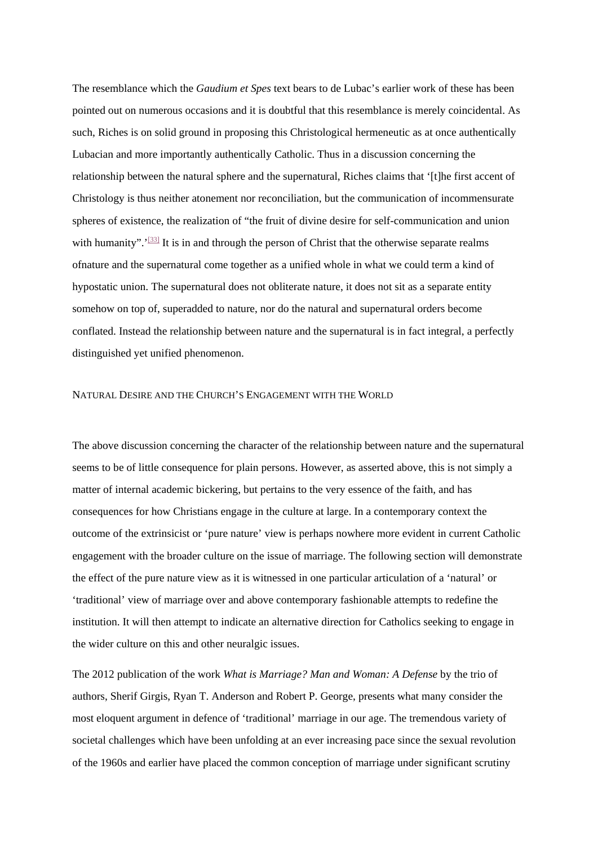The resemblance which the *Gaudium et Spes* text bears to de Lubac's earlier work of these has been pointed out on numerous occasions and it is doubtful that this resemblance is merely coincidental. As such, Riches is on solid ground in proposing this Christological hermeneutic as at once authentically Lubacian and more importantly authentically Catholic. Thus in a discussion concerning the relationship between the natural sphere and the supernatural, Riches claims that '[t]he first accent of Christology is thus neither atonement nor reconciliation, but the communication of incommensurate spheres of existence, the realization of "the fruit of divine desire for self-communication and union with humanity". $\frac{33}{15}$  It is in and through the person of Christ that the otherwise separate realms ofnature and the supernatural come together as a unified whole in what we could term a kind of hypostatic union. The supernatural does not obliterate nature, it does not sit as a separate entity somehow on top of, superadded to nature, nor do the natural and supernatural orders become conflated. Instead the relationship between nature and the supernatural is in fact integral, a perfectly distinguished yet unified phenomenon.

# NATURAL DESIRE AND THE CHURCH'S ENGAGEMENT WITH THE WORLD

The above discussion concerning the character of the relationship between nature and the supernatural seems to be of little consequence for plain persons. However, as asserted above, this is not simply a matter of internal academic bickering, but pertains to the very essence of the faith, and has consequences for how Christians engage in the culture at large. In a contemporary context the outcome of the extrinsicist or 'pure nature' view is perhaps nowhere more evident in current Catholic engagement with the broader culture on the issue of marriage. The following section will demonstrate the effect of the pure nature view as it is witnessed in one particular articulation of a 'natural' or 'traditional' view of marriage over and above contemporary fashionable attempts to redefine the institution. It will then attempt to indicate an alternative direction for Catholics seeking to engage in the wider culture on this and other neuralgic issues.

The 2012 publication of the work *What is Marriage? Man and Woman: A Defense* by the trio of authors, Sherif Girgis, Ryan T. Anderson and Robert P. George, presents what many consider the most eloquent argument in defence of 'traditional' marriage in our age. The tremendous variety of societal challenges which have been unfolding at an ever increasing pace since the sexual revolution of the 1960s and earlier have placed the common conception of marriage under significant scrutiny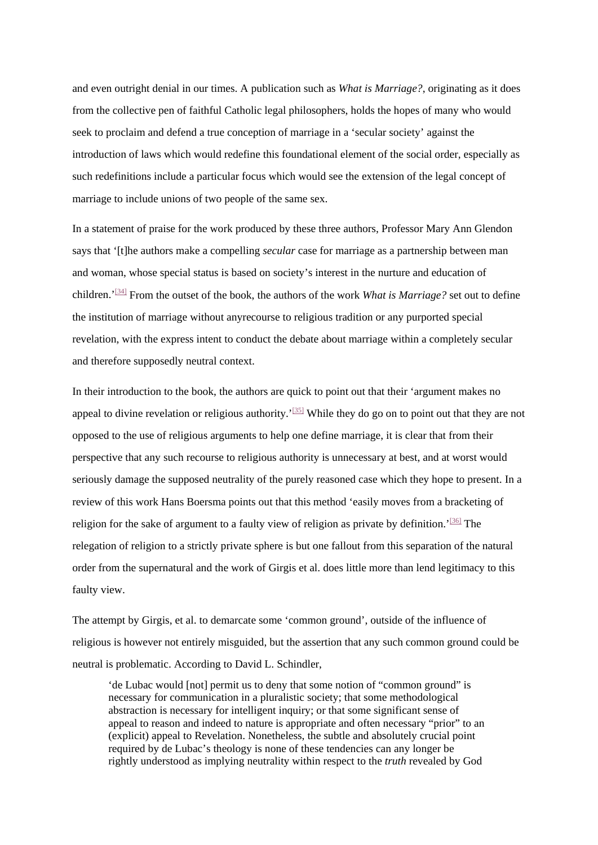and even outright denial in our times. A publication such as *What is Marriage?*, originating as it does from the collective pen of faithful Catholic legal philosophers, holds the hopes of many who would seek to proclaim and defend a true conception of marriage in a 'secular society' against the introduction of laws which would redefine this foundational element of the social order, especially as such redefinitions include a particular focus which would see the extension of the legal concept of marriage to include unions of two people of the same sex.

In a statement of praise for the work produced by these three authors, Professor Mary Ann Glendon says that '[t]he authors make a compelling *secular* case for marriage as a partnership between man and woman, whose special status is based on society's interest in the nurture and education of children.'[\[34\]](https://mc.manuscriptcentral.com/LongRequest/nbfr?DOWNLOAD=TRUE&PARAMS=xik_48Ar8GWWAKdkRJ6FC9esEBPZf1oUUrQLAyALRS1asepr42wNmhSVpBVTVvnt4DCmKYGzBJReWCapMGZAf1SEptMiis4nqmfWttMLiDrnvrb1P5gppVLV1ZHMubhHqPhm4Z6MXF6H9HvA2Mkg4CUur1QHaf64Ckh4XRRcXLg8UDHSYL7HU37Y7Znq2RWydwG857ED1cDoSvU1H8rzWKay4mHJGowhDWtKNVg4ugGznWmAZ6oVj%23_ftn34) From the outset of the book, the authors of the work *What is Marriage?* set out to define the institution of marriage without anyrecourse to religious tradition or any purported special revelation, with the express intent to conduct the debate about marriage within a completely secular and therefore supposedly neutral context.

In their introduction to the book, the authors are quick to point out that their 'argument makes no appeal to divine revelation or religious authority.<sup>'[\[35\]](https://mc.manuscriptcentral.com/LongRequest/nbfr?DOWNLOAD=TRUE&PARAMS=xik_48Ar8GWWAKdkRJ6FC9esEBPZf1oUUrQLAyALRS1asepr42wNmhSVpBVTVvnt4DCmKYGzBJReWCapMGZAf1SEptMiis4nqmfWttMLiDrnvrb1P5gppVLV1ZHMubhHqPhm4Z6MXF6H9HvA2Mkg4CUur1QHaf64Ckh4XRRcXLg8UDHSYL7HU37Y7Znq2RWydwG857ED1cDoSvU1H8rzWKay4mHJGowhDWtKNVg4ugGznWmAZ6oVj%23_ftn35)</sup> While they do go on to point out that they are not opposed to the use of religious arguments to help one define marriage, it is clear that from their perspective that any such recourse to religious authority is unnecessary at best, and at worst would seriously damage the supposed neutrality of the purely reasoned case which they hope to present. In a review of this work Hans Boersma points out that this method 'easily moves from a bracketing of religion for the sake of argument to a faulty view of religion as private by definition.<sup>'[\[36\]](https://mc.manuscriptcentral.com/LongRequest/nbfr?DOWNLOAD=TRUE&PARAMS=xik_48Ar8GWWAKdkRJ6FC9esEBPZf1oUUrQLAyALRS1asepr42wNmhSVpBVTVvnt4DCmKYGzBJReWCapMGZAf1SEptMiis4nqmfWttMLiDrnvrb1P5gppVLV1ZHMubhHqPhm4Z6MXF6H9HvA2Mkg4CUur1QHaf64Ckh4XRRcXLg8UDHSYL7HU37Y7Znq2RWydwG857ED1cDoSvU1H8rzWKay4mHJGowhDWtKNVg4ugGznWmAZ6oVj%23_ftn36)</sup> The relegation of religion to a strictly private sphere is but one fallout from this separation of the natural order from the supernatural and the work of Girgis et al. does little more than lend legitimacy to this faulty view.

The attempt by Girgis, et al. to demarcate some 'common ground', outside of the influence of religious is however not entirely misguided, but the assertion that any such common ground could be neutral is problematic. According to David L. Schindler,

'de Lubac would [not] permit us to deny that some notion of "common ground" is necessary for communication in a pluralistic society; that some methodological abstraction is necessary for intelligent inquiry; or that some significant sense of appeal to reason and indeed to nature is appropriate and often necessary "prior" to an (explicit) appeal to Revelation. Nonetheless, the subtle and absolutely crucial point required by de Lubac's theology is none of these tendencies can any longer be rightly understood as implying neutrality within respect to the *truth* revealed by God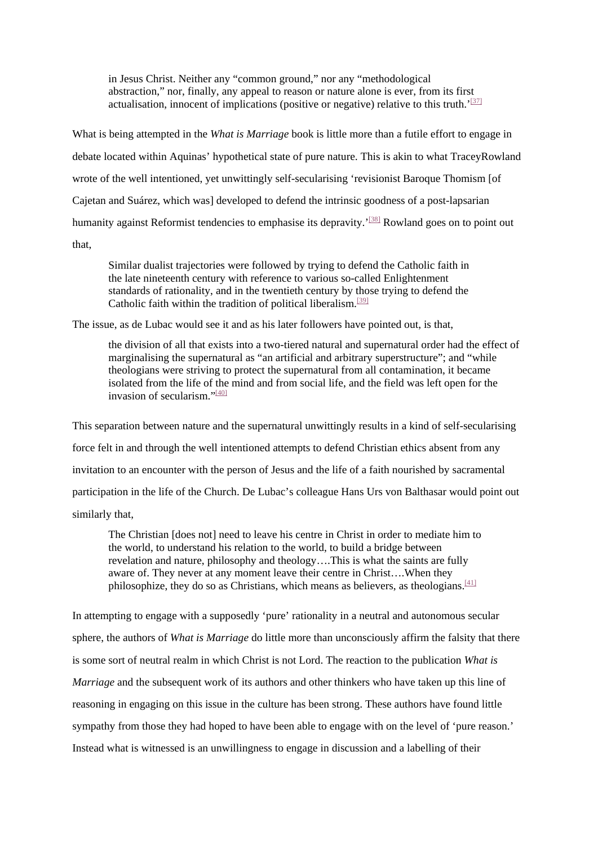in Jesus Christ. Neither any "common ground," nor any "methodological abstraction," nor, finally, any appeal to reason or nature alone is ever, from its first actualisation, innocent of implications (positive or negative) relative to this truth.' $[37]$ 

What is being attempted in the *What is Marriage* book is little more than a futile effort to engage in debate located within Aquinas' hypothetical state of pure nature. This is akin to what TraceyRowland wrote of the well intentioned, yet unwittingly self-secularising 'revisionist Baroque Thomism [of Cajetan and Suárez, which was] developed to defend the intrinsic goodness of a post-lapsarian humanity against Reformist tendencies to emphasise its depravity.<sup>'[\[38\]](https://mc.manuscriptcentral.com/LongRequest/nbfr?DOWNLOAD=TRUE&PARAMS=xik_48Ar8GWWAKdkRJ6FC9esEBPZf1oUUrQLAyALRS1asepr42wNmhSVpBVTVvnt4DCmKYGzBJReWCapMGZAf1SEptMiis4nqmfWttMLiDrnvrb1P5gppVLV1ZHMubhHqPhm4Z6MXF6H9HvA2Mkg4CUur1QHaf64Ckh4XRRcXLg8UDHSYL7HU37Y7Znq2RWydwG857ED1cDoSvU1H8rzWKay4mHJGowhDWtKNVg4ugGznWmAZ6oVj%23_ftn38)</sup> Rowland goes on to point out that,

Similar dualist trajectories were followed by trying to defend the Catholic faith in the late nineteenth century with reference to various so-called Enlightenment standards of rationality, and in the twentieth century by those trying to defend the Catholic faith within the tradition of political liberalism.<sup>[39]</sup>

The issue, as de Lubac would see it and as his later followers have pointed out, is that,

the division of all that exists into a two-tiered natural and supernatural order had the effect of marginalising the supernatural as "an artificial and arbitrary superstructure"; and "while theologians were striving to protect the supernatural from all contamination, it became isolated from the life of the mind and from social life, and the field was left open for the invasion of secularism." $\frac{40}{1401}$ 

This separation between nature and the supernatural unwittingly results in a kind of self-secularising force felt in and through the well intentioned attempts to defend Christian ethics absent from any invitation to an encounter with the person of Jesus and the life of a faith nourished by sacramental participation in the life of the Church. De Lubac's colleague Hans Urs von Balthasar would point out similarly that,

The Christian [does not] need to leave his centre in Christ in order to mediate him to the world, to understand his relation to the world, to build a bridge between revelation and nature, philosophy and theology….This is what the saints are fully aware of. They never at any moment leave their centre in Christ….When they philosophize, they do so as Christians, which means as believers, as theologians.<sup>[\[41\]](https://mc.manuscriptcentral.com/LongRequest/nbfr?DOWNLOAD=TRUE&PARAMS=xik_48Ar8GWWAKdkRJ6FC9esEBPZf1oUUrQLAyALRS1asepr42wNmhSVpBVTVvnt4DCmKYGzBJReWCapMGZAf1SEptMiis4nqmfWttMLiDrnvrb1P5gppVLV1ZHMubhHqPhm4Z6MXF6H9HvA2Mkg4CUur1QHaf64Ckh4XRRcXLg8UDHSYL7HU37Y7Znq2RWydwG857ED1cDoSvU1H8rzWKay4mHJGowhDWtKNVg4ugGznWmAZ6oVj%23_ftn41)</sup>

In attempting to engage with a supposedly 'pure' rationality in a neutral and autonomous secular sphere, the authors of *What is Marriage* do little more than unconsciously affirm the falsity that there is some sort of neutral realm in which Christ is not Lord. The reaction to the publication *What is Marriage* and the subsequent work of its authors and other thinkers who have taken up this line of reasoning in engaging on this issue in the culture has been strong. These authors have found little sympathy from those they had hoped to have been able to engage with on the level of 'pure reason.' Instead what is witnessed is an unwillingness to engage in discussion and a labelling of their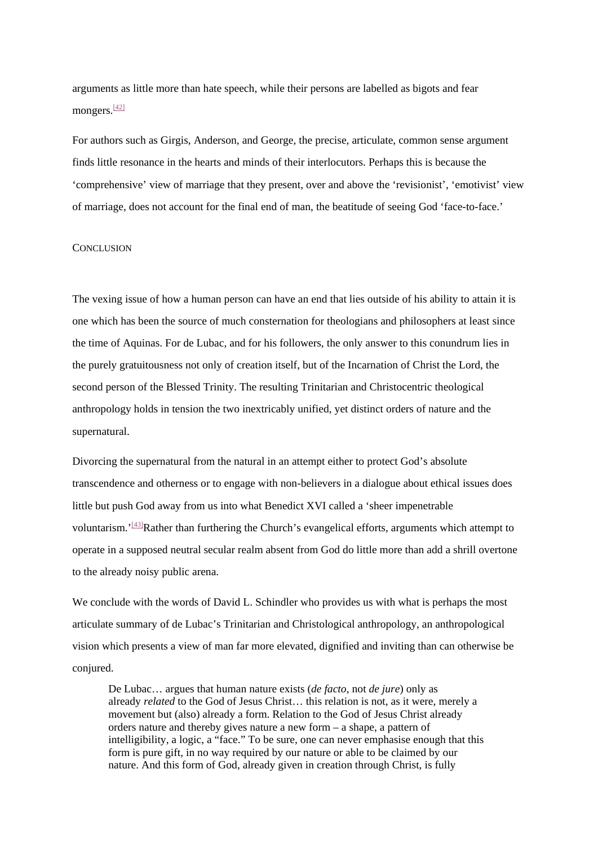arguments as little more than hate speech, while their persons are labelled as bigots and fear mongers. $\frac{[42]}{]}$  $\frac{[42]}{]}$  $\frac{[42]}{]}$ 

For authors such as Girgis, Anderson, and George, the precise, articulate, common sense argument finds little resonance in the hearts and minds of their interlocutors. Perhaps this is because the 'comprehensive' view of marriage that they present, over and above the 'revisionist', 'emotivist' view of marriage, does not account for the final end of man, the beatitude of seeing God 'face-to-face.'

# **CONCLUSION**

The vexing issue of how a human person can have an end that lies outside of his ability to attain it is one which has been the source of much consternation for theologians and philosophers at least since the time of Aquinas. For de Lubac, and for his followers, the only answer to this conundrum lies in the purely gratuitousness not only of creation itself, but of the Incarnation of Christ the Lord, the second person of the Blessed Trinity. The resulting Trinitarian and Christocentric theological anthropology holds in tension the two inextricably unified, yet distinct orders of nature and the supernatural.

Divorcing the supernatural from the natural in an attempt either to protect God's absolute transcendence and otherness or to engage with non-believers in a dialogue about ethical issues does little but push God away from us into what Benedict XVI called a 'sheer impenetrable voluntarism.<sup>'[43]</sup>Rather than furthering the Church's evangelical efforts, arguments which attempt to operate in a supposed neutral secular realm absent from God do little more than add a shrill overtone to the already noisy public arena.

We conclude with the words of David L. Schindler who provides us with what is perhaps the most articulate summary of de Lubac's Trinitarian and Christological anthropology, an anthropological vision which presents a view of man far more elevated, dignified and inviting than can otherwise be conjured.

De Lubac… argues that human nature exists (*de facto*, not *de jure*) only as already *related* to the God of Jesus Christ… this relation is not, as it were, merely a movement but (also) already a form. Relation to the God of Jesus Christ already orders nature and thereby gives nature a new form – a shape, a pattern of intelligibility, a logic, a "face." To be sure, one can never emphasise enough that this form is pure gift, in no way required by our nature or able to be claimed by our nature. And this form of God, already given in creation through Christ, is fully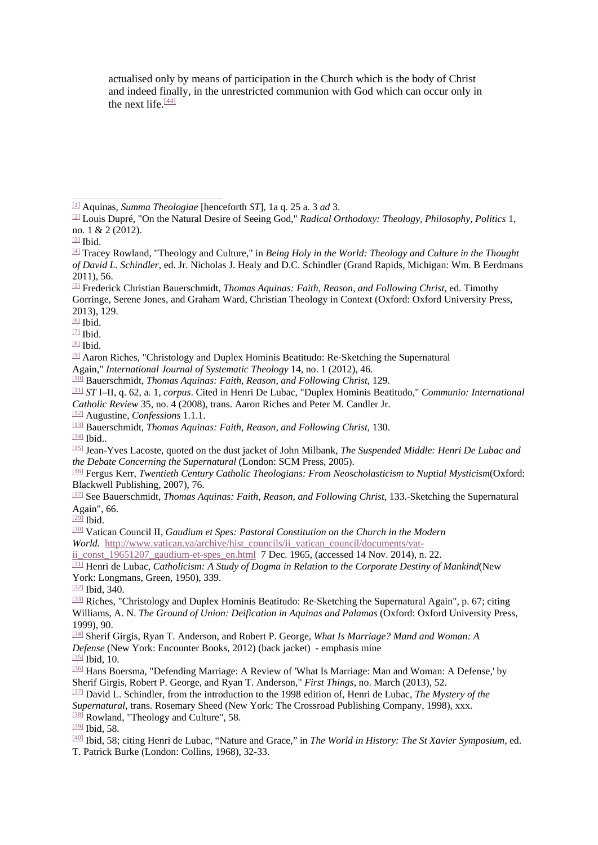actualised only by means of participation in the Church which is the body of Christ and indeed finally, in the unrestricted communion with God which can occur only in the next life. $\frac{[44]}{[44]}$  $\frac{[44]}{[44]}$  $\frac{[44]}{[44]}$ 

 $[6]$  Ibid.

[\[8\]](https://mc.manuscriptcentral.com/LongRequest/nbfr?DOWNLOAD=TRUE&PARAMS=xik_48Ar8GWWAKdkRJ6FC9esEBPZf1oUUrQLAyALRS1asepr42wNmhSVpBVTVvnt4DCmKYGzBJReWCapMGZAf1SEptMiis4nqmfWttMLiDrnvrb1P5gppVLV1ZHMubhHqPhm4Z6MXF6H9HvA2Mkg4CUur1QHaf64Ckh4XRRcXLg8UDHSYL7HU37Y7Znq2RWydwG857ED1cDoSvU1H8rzWKay4mHJGowhDWtKNVg4ugGznWmAZ6oVj%23_ftnref8) Ibid.

Again," *International Journal of Systematic Theology* 14, no. 1 (2012), 46.

[\[10\]](https://mc.manuscriptcentral.com/LongRequest/nbfr?DOWNLOAD=TRUE&PARAMS=xik_48Ar8GWWAKdkRJ6FC9esEBPZf1oUUrQLAyALRS1asepr42wNmhSVpBVTVvnt4DCmKYGzBJReWCapMGZAf1SEptMiis4nqmfWttMLiDrnvrb1P5gppVLV1ZHMubhHqPhm4Z6MXF6H9HvA2Mkg4CUur1QHaf64Ckh4XRRcXLg8UDHSYL7HU37Y7Znq2RWydwG857ED1cDoSvU1H8rzWKay4mHJGowhDWtKNVg4ugGznWmAZ6oVj%23_ftnref10) Bauerschmidt, *Thomas Aquinas: Faith, Reason, and Following Christ*, 129.

[\[11\]](https://mc.manuscriptcentral.com/LongRequest/nbfr?DOWNLOAD=TRUE&PARAMS=xik_48Ar8GWWAKdkRJ6FC9esEBPZf1oUUrQLAyALRS1asepr42wNmhSVpBVTVvnt4DCmKYGzBJReWCapMGZAf1SEptMiis4nqmfWttMLiDrnvrb1P5gppVLV1ZHMubhHqPhm4Z6MXF6H9HvA2Mkg4CUur1QHaf64Ckh4XRRcXLg8UDHSYL7HU37Y7Znq2RWydwG857ED1cDoSvU1H8rzWKay4mHJGowhDWtKNVg4ugGznWmAZ6oVj%23_ftnref11) *ST* I–II, q. 62, a. 1, *corpus*. Cited in Henri De Lubac, "Duplex Hominis Beatitudo," *Communio: International Catholic Review* 35, no. 4 (2008), trans. Aaron Riches and Peter M. Candler Jr.

[\[12\]](https://mc.manuscriptcentral.com/LongRequest/nbfr?DOWNLOAD=TRUE&PARAMS=xik_48Ar8GWWAKdkRJ6FC9esEBPZf1oUUrQLAyALRS1asepr42wNmhSVpBVTVvnt4DCmKYGzBJReWCapMGZAf1SEptMiis4nqmfWttMLiDrnvrb1P5gppVLV1ZHMubhHqPhm4Z6MXF6H9HvA2Mkg4CUur1QHaf64Ckh4XRRcXLg8UDHSYL7HU37Y7Znq2RWydwG857ED1cDoSvU1H8rzWKay4mHJGowhDWtKNVg4ugGznWmAZ6oVj%23_ftnref12) Augustine, *Confessions* 1.1.1.

- [\[13\]](https://mc.manuscriptcentral.com/LongRequest/nbfr?DOWNLOAD=TRUE&PARAMS=xik_48Ar8GWWAKdkRJ6FC9esEBPZf1oUUrQLAyALRS1asepr42wNmhSVpBVTVvnt4DCmKYGzBJReWCapMGZAf1SEptMiis4nqmfWttMLiDrnvrb1P5gppVLV1ZHMubhHqPhm4Z6MXF6H9HvA2Mkg4CUur1QHaf64Ckh4XRRcXLg8UDHSYL7HU37Y7Znq2RWydwG857ED1cDoSvU1H8rzWKay4mHJGowhDWtKNVg4ugGznWmAZ6oVj%23_ftnref13) Bauerschmidt, *Thomas Aquinas: Faith, Reason, and Following Christ*, 130.
- [\[14\]](https://mc.manuscriptcentral.com/LongRequest/nbfr?DOWNLOAD=TRUE&PARAMS=xik_48Ar8GWWAKdkRJ6FC9esEBPZf1oUUrQLAyALRS1asepr42wNmhSVpBVTVvnt4DCmKYGzBJReWCapMGZAf1SEptMiis4nqmfWttMLiDrnvrb1P5gppVLV1ZHMubhHqPhm4Z6MXF6H9HvA2Mkg4CUur1QHaf64Ckh4XRRcXLg8UDHSYL7HU37Y7Znq2RWydwG857ED1cDoSvU1H8rzWKay4mHJGowhDWtKNVg4ugGznWmAZ6oVj%23_ftnref14) Ibid..

[\[17\]](https://mc.manuscriptcentral.com/LongRequest/nbfr?DOWNLOAD=TRUE&PARAMS=xik_48Ar8GWWAKdkRJ6FC9esEBPZf1oUUrQLAyALRS1asepr42wNmhSVpBVTVvnt4DCmKYGzBJReWCapMGZAf1SEptMiis4nqmfWttMLiDrnvrb1P5gppVLV1ZHMubhHqPhm4Z6MXF6H9HvA2Mkg4CUur1QHaf64Ckh4XRRcXLg8UDHSYL7HU37Y7Znq2RWydwG857ED1cDoSvU1H8rzWKay4mHJGowhDWtKNVg4ugGznWmAZ6oVj%23_ftnref17) See Bauerschmidt, *Thomas Aquinas: Faith, Reason, and Following Christ*, 133.‐Sketching the Supernatural Again", 66.

 $129$ <sup>I</sup> Ibid.

[\[30\]](https://mc.manuscriptcentral.com/LongRequest/nbfr?DOWNLOAD=TRUE&PARAMS=xik_48Ar8GWWAKdkRJ6FC9esEBPZf1oUUrQLAyALRS1asepr42wNmhSVpBVTVvnt4DCmKYGzBJReWCapMGZAf1SEptMiis4nqmfWttMLiDrnvrb1P5gppVLV1ZHMubhHqPhm4Z6MXF6H9HvA2Mkg4CUur1QHaf64Ckh4XRRcXLg8UDHSYL7HU37Y7Znq2RWydwG857ED1cDoSvU1H8rzWKay4mHJGowhDWtKNVg4ugGznWmAZ6oVj%23_ftnref30) Vatican Council II, *Gaudium et Spes: Pastoral Constitution on the Church in the Modern World.* [http://www.vatican.va/archive/hist\\_councils/ii\\_vatican\\_council/documents/vat-](https://mc.manuscriptcentral.com/LongRequest/nbfr?DOWNLOAD=TRUE&PARAMS=xik_4M1pYDoXyKYZD3NBnoTgGaEXcvS427igQSM4VztHiVoQtuwMjQBH4GEGyd96vY8R9ews3yjrzQcuNi9h9YTzoXphwUKWQQFvBCPEXZ2n4xmqEtXnzE5xE9f8ujWbnqHD5quNXBNJKaCDavJX7LiWmG3bqVtkEYysMYm5bbJZTK5k3YH9nAKndZa6n326edTvcSKkb3HRGq3rirZvNvBg9fiDLrJoBS4j6XVKBah6HZa22H4dZU69x6uYC5KHnEcFcftsEZjNeiKq4NjyJ4A3D3Gy32UtPowzfLYLZ5nukc13KECdPe)

ii const  $19651207$  gaudium-et-spes en.html 7 Dec. 1965, (accessed 14 Nov. 2014), n. 22.

[\[31\]](https://mc.manuscriptcentral.com/LongRequest/nbfr?DOWNLOAD=TRUE&PARAMS=xik_48Ar8GWWAKdkRJ6FC9esEBPZf1oUUrQLAyALRS1asepr42wNmhSVpBVTVvnt4DCmKYGzBJReWCapMGZAf1SEptMiis4nqmfWttMLiDrnvrb1P5gppVLV1ZHMubhHqPhm4Z6MXF6H9HvA2Mkg4CUur1QHaf64Ckh4XRRcXLg8UDHSYL7HU37Y7Znq2RWydwG857ED1cDoSvU1H8rzWKay4mHJGowhDWtKNVg4ugGznWmAZ6oVj%23_ftnref31) Henri de Lubac, *Catholicism: A Study of Dogma in Relation to the Corporate Destiny of Mankind*(New York: Longmans, Green, 1950), 339.

[\[32\]](https://mc.manuscriptcentral.com/LongRequest/nbfr?DOWNLOAD=TRUE&PARAMS=xik_48Ar8GWWAKdkRJ6FC9esEBPZf1oUUrQLAyALRS1asepr42wNmhSVpBVTVvnt4DCmKYGzBJReWCapMGZAf1SEptMiis4nqmfWttMLiDrnvrb1P5gppVLV1ZHMubhHqPhm4Z6MXF6H9HvA2Mkg4CUur1QHaf64Ckh4XRRcXLg8UDHSYL7HU37Y7Znq2RWydwG857ED1cDoSvU1H8rzWKay4mHJGowhDWtKNVg4ugGznWmAZ6oVj%23_ftnref32) Ibid, 340.

[\[34\]](https://mc.manuscriptcentral.com/LongRequest/nbfr?DOWNLOAD=TRUE&PARAMS=xik_48Ar8GWWAKdkRJ6FC9esEBPZf1oUUrQLAyALRS1asepr42wNmhSVpBVTVvnt4DCmKYGzBJReWCapMGZAf1SEptMiis4nqmfWttMLiDrnvrb1P5gppVLV1ZHMubhHqPhm4Z6MXF6H9HvA2Mkg4CUur1QHaf64Ckh4XRRcXLg8UDHSYL7HU37Y7Znq2RWydwG857ED1cDoSvU1H8rzWKay4mHJGowhDWtKNVg4ugGznWmAZ6oVj%23_ftnref34) Sherif Girgis, Ryan T. Anderson, and Robert P. George, *What Is Marriage? Mand and Woman: A* 

*Defense* (New York: Encounter Books, 2012) (back jacket) - emphasis mine

 $[35]$  Ibid, 10.

[\[37\]](https://mc.manuscriptcentral.com/LongRequest/nbfr?DOWNLOAD=TRUE&PARAMS=xik_48Ar8GWWAKdkRJ6FC9esEBPZf1oUUrQLAyALRS1asepr42wNmhSVpBVTVvnt4DCmKYGzBJReWCapMGZAf1SEptMiis4nqmfWttMLiDrnvrb1P5gppVLV1ZHMubhHqPhm4Z6MXF6H9HvA2Mkg4CUur1QHaf64Ckh4XRRcXLg8UDHSYL7HU37Y7Znq2RWydwG857ED1cDoSvU1H8rzWKay4mHJGowhDWtKNVg4ugGznWmAZ6oVj%23_ftnref37) David L. Schindler, from the introduction to the 1998 edition of, Henri de Lubac, *The Mystery of the Supernatural*, trans. Rosemary Sheed (New York: The Crossroad Publishing Company, 1998), xxx. [\[38\]](https://mc.manuscriptcentral.com/LongRequest/nbfr?DOWNLOAD=TRUE&PARAMS=xik_48Ar8GWWAKdkRJ6FC9esEBPZf1oUUrQLAyALRS1asepr42wNmhSVpBVTVvnt4DCmKYGzBJReWCapMGZAf1SEptMiis4nqmfWttMLiDrnvrb1P5gppVLV1ZHMubhHqPhm4Z6MXF6H9HvA2Mkg4CUur1QHaf64Ckh4XRRcXLg8UDHSYL7HU37Y7Znq2RWydwG857ED1cDoSvU1H8rzWKay4mHJGowhDWtKNVg4ugGznWmAZ6oVj%23_ftnref38) Rowland, "Theology and Culture", 58.

[\[39\]](https://mc.manuscriptcentral.com/LongRequest/nbfr?DOWNLOAD=TRUE&PARAMS=xik_48Ar8GWWAKdkRJ6FC9esEBPZf1oUUrQLAyALRS1asepr42wNmhSVpBVTVvnt4DCmKYGzBJReWCapMGZAf1SEptMiis4nqmfWttMLiDrnvrb1P5gppVLV1ZHMubhHqPhm4Z6MXF6H9HvA2Mkg4CUur1QHaf64Ckh4XRRcXLg8UDHSYL7HU37Y7Znq2RWydwG857ED1cDoSvU1H8rzWKay4mHJGowhDWtKNVg4ugGznWmAZ6oVj%23_ftnref39) Ibid, 58.

[<sup>\[1\]</sup>](https://mc.manuscriptcentral.com/LongRequest/nbfr?DOWNLOAD=TRUE&PARAMS=xik_48Ar8GWWAKdkRJ6FC9esEBPZf1oUUrQLAyALRS1asepr42wNmhSVpBVTVvnt4DCmKYGzBJReWCapMGZAf1SEptMiis4nqmfWttMLiDrnvrb1P5gppVLV1ZHMubhHqPhm4Z6MXF6H9HvA2Mkg4CUur1QHaf64Ckh4XRRcXLg8UDHSYL7HU37Y7Znq2RWydwG857ED1cDoSvU1H8rzWKay4mHJGowhDWtKNVg4ugGznWmAZ6oVj%23_ftnref1) Aquinas, *Summa Theologiae* [henceforth *ST*], 1a q. 25 a. 3 *ad* 3.

[<sup>\[2\]</sup>](https://mc.manuscriptcentral.com/LongRequest/nbfr?DOWNLOAD=TRUE&PARAMS=xik_48Ar8GWWAKdkRJ6FC9esEBPZf1oUUrQLAyALRS1asepr42wNmhSVpBVTVvnt4DCmKYGzBJReWCapMGZAf1SEptMiis4nqmfWttMLiDrnvrb1P5gppVLV1ZHMubhHqPhm4Z6MXF6H9HvA2Mkg4CUur1QHaf64Ckh4XRRcXLg8UDHSYL7HU37Y7Znq2RWydwG857ED1cDoSvU1H8rzWKay4mHJGowhDWtKNVg4ugGznWmAZ6oVj%23_ftnref2) Louis Dupré, "On the Natural Desire of Seeing God," *Radical Orthodoxy: Theology, Philosophy, Politics* 1, no. 1 & 2 (2012).

[<sup>\[3\]</sup>](https://mc.manuscriptcentral.com/LongRequest/nbfr?DOWNLOAD=TRUE&PARAMS=xik_48Ar8GWWAKdkRJ6FC9esEBPZf1oUUrQLAyALRS1asepr42wNmhSVpBVTVvnt4DCmKYGzBJReWCapMGZAf1SEptMiis4nqmfWttMLiDrnvrb1P5gppVLV1ZHMubhHqPhm4Z6MXF6H9HvA2Mkg4CUur1QHaf64Ckh4XRRcXLg8UDHSYL7HU37Y7Znq2RWydwG857ED1cDoSvU1H8rzWKay4mHJGowhDWtKNVg4ugGznWmAZ6oVj%23_ftnref3) Ibid.

[<sup>\[4\]</sup>](https://mc.manuscriptcentral.com/LongRequest/nbfr?DOWNLOAD=TRUE&PARAMS=xik_48Ar8GWWAKdkRJ6FC9esEBPZf1oUUrQLAyALRS1asepr42wNmhSVpBVTVvnt4DCmKYGzBJReWCapMGZAf1SEptMiis4nqmfWttMLiDrnvrb1P5gppVLV1ZHMubhHqPhm4Z6MXF6H9HvA2Mkg4CUur1QHaf64Ckh4XRRcXLg8UDHSYL7HU37Y7Znq2RWydwG857ED1cDoSvU1H8rzWKay4mHJGowhDWtKNVg4ugGznWmAZ6oVj%23_ftnref4) Tracey Rowland, "Theology and Culture," in *Being Holy in the World: Theology and Culture in the Thought of David L. Schindler*, ed. Jr. Nicholas J. Healy and D.C. Schindler (Grand Rapids, Michigan: Wm. B Eerdmans 2011), 56.

[<sup>\[5\]</sup>](https://mc.manuscriptcentral.com/LongRequest/nbfr?DOWNLOAD=TRUE&PARAMS=xik_48Ar8GWWAKdkRJ6FC9esEBPZf1oUUrQLAyALRS1asepr42wNmhSVpBVTVvnt4DCmKYGzBJReWCapMGZAf1SEptMiis4nqmfWttMLiDrnvrb1P5gppVLV1ZHMubhHqPhm4Z6MXF6H9HvA2Mkg4CUur1QHaf64Ckh4XRRcXLg8UDHSYL7HU37Y7Znq2RWydwG857ED1cDoSvU1H8rzWKay4mHJGowhDWtKNVg4ugGznWmAZ6oVj%23_ftnref5) Frederick Christian Bauerschmidt, *Thomas Aquinas: Faith, Reason, and Following Christ*, ed. Timothy Gorringe, Serene Jones, and Graham Ward, Christian Theology in Context (Oxford: Oxford University Press, 2013), 129.

[<sup>\[7\]</sup>](https://mc.manuscriptcentral.com/LongRequest/nbfr?DOWNLOAD=TRUE&PARAMS=xik_48Ar8GWWAKdkRJ6FC9esEBPZf1oUUrQLAyALRS1asepr42wNmhSVpBVTVvnt4DCmKYGzBJReWCapMGZAf1SEptMiis4nqmfWttMLiDrnvrb1P5gppVLV1ZHMubhHqPhm4Z6MXF6H9HvA2Mkg4CUur1QHaf64Ckh4XRRcXLg8UDHSYL7HU37Y7Znq2RWydwG857ED1cDoSvU1H8rzWKay4mHJGowhDWtKNVg4ugGznWmAZ6oVj%23_ftnref7) Ibid.

[<sup>\[9\]</sup>](https://mc.manuscriptcentral.com/LongRequest/nbfr?DOWNLOAD=TRUE&PARAMS=xik_48Ar8GWWAKdkRJ6FC9esEBPZf1oUUrQLAyALRS1asepr42wNmhSVpBVTVvnt4DCmKYGzBJReWCapMGZAf1SEptMiis4nqmfWttMLiDrnvrb1P5gppVLV1ZHMubhHqPhm4Z6MXF6H9HvA2Mkg4CUur1QHaf64Ckh4XRRcXLg8UDHSYL7HU37Y7Znq2RWydwG857ED1cDoSvU1H8rzWKay4mHJGowhDWtKNVg4ugGznWmAZ6oVj%23_ftnref9) Aaron Riches, "Christology and Duplex Hominis Beatitudo: Re‐Sketching the Supernatural

[<sup>\[15\]</sup>](https://mc.manuscriptcentral.com/LongRequest/nbfr?DOWNLOAD=TRUE&PARAMS=xik_48Ar8GWWAKdkRJ6FC9esEBPZf1oUUrQLAyALRS1asepr42wNmhSVpBVTVvnt4DCmKYGzBJReWCapMGZAf1SEptMiis4nqmfWttMLiDrnvrb1P5gppVLV1ZHMubhHqPhm4Z6MXF6H9HvA2Mkg4CUur1QHaf64Ckh4XRRcXLg8UDHSYL7HU37Y7Znq2RWydwG857ED1cDoSvU1H8rzWKay4mHJGowhDWtKNVg4ugGznWmAZ6oVj%23_ftnref15) Jean-Yves Lacoste, quoted on the dust jacket of John Milbank, *The Suspended Middle: Henri De Lubac and the Debate Concerning the Supernatural* (London: SCM Press, 2005).

[<sup>\[16\]</sup>](https://mc.manuscriptcentral.com/LongRequest/nbfr?DOWNLOAD=TRUE&PARAMS=xik_48Ar8GWWAKdkRJ6FC9esEBPZf1oUUrQLAyALRS1asepr42wNmhSVpBVTVvnt4DCmKYGzBJReWCapMGZAf1SEptMiis4nqmfWttMLiDrnvrb1P5gppVLV1ZHMubhHqPhm4Z6MXF6H9HvA2Mkg4CUur1QHaf64Ckh4XRRcXLg8UDHSYL7HU37Y7Znq2RWydwG857ED1cDoSvU1H8rzWKay4mHJGowhDWtKNVg4ugGznWmAZ6oVj%23_ftnref16) Fergus Kerr, *Twentieth Century Catholic Theologians: From Neoscholasticism to Nuptial Mysticism*(Oxford: Blackwell Publishing, 2007), 76.

[<sup>\[33\]</sup>](https://mc.manuscriptcentral.com/LongRequest/nbfr?DOWNLOAD=TRUE&PARAMS=xik_48Ar8GWWAKdkRJ6FC9esEBPZf1oUUrQLAyALRS1asepr42wNmhSVpBVTVvnt4DCmKYGzBJReWCapMGZAf1SEptMiis4nqmfWttMLiDrnvrb1P5gppVLV1ZHMubhHqPhm4Z6MXF6H9HvA2Mkg4CUur1QHaf64Ckh4XRRcXLg8UDHSYL7HU37Y7Znq2RWydwG857ED1cDoSvU1H8rzWKay4mHJGowhDWtKNVg4ugGznWmAZ6oVj%23_ftnref33) Riches, "Christology and Duplex Hominis Beatitudo: Re-Sketching the Supernatural Again", p. 67; citing Williams, A. N. *The Ground of Union: Deification in Aquinas and Palamas* (Oxford: Oxford University Press, 1999), 90.

[<sup>\[36\]</sup>](https://mc.manuscriptcentral.com/LongRequest/nbfr?DOWNLOAD=TRUE&PARAMS=xik_48Ar8GWWAKdkRJ6FC9esEBPZf1oUUrQLAyALRS1asepr42wNmhSVpBVTVvnt4DCmKYGzBJReWCapMGZAf1SEptMiis4nqmfWttMLiDrnvrb1P5gppVLV1ZHMubhHqPhm4Z6MXF6H9HvA2Mkg4CUur1QHaf64Ckh4XRRcXLg8UDHSYL7HU37Y7Znq2RWydwG857ED1cDoSvU1H8rzWKay4mHJGowhDWtKNVg4ugGznWmAZ6oVj%23_ftnref36) Hans Boersma, "Defending Marriage: A Review of 'What Is Marriage: Man and Woman: A Defense,' by Sherif Girgis, Robert P. George, and Ryan T. Anderson," *First Things*, no. March (2013), 52.

[<sup>\[40\]</sup>](https://mc.manuscriptcentral.com/LongRequest/nbfr?DOWNLOAD=TRUE&PARAMS=xik_48Ar8GWWAKdkRJ6FC9esEBPZf1oUUrQLAyALRS1asepr42wNmhSVpBVTVvnt4DCmKYGzBJReWCapMGZAf1SEptMiis4nqmfWttMLiDrnvrb1P5gppVLV1ZHMubhHqPhm4Z6MXF6H9HvA2Mkg4CUur1QHaf64Ckh4XRRcXLg8UDHSYL7HU37Y7Znq2RWydwG857ED1cDoSvU1H8rzWKay4mHJGowhDWtKNVg4ugGznWmAZ6oVj%23_ftnref40) Ibid, 58; citing Henri de Lubac, "Nature and Grace," in *The World in History: The St Xavier Symposium*, ed. T. Patrick Burke (London: Collins, 1968), 32-33.